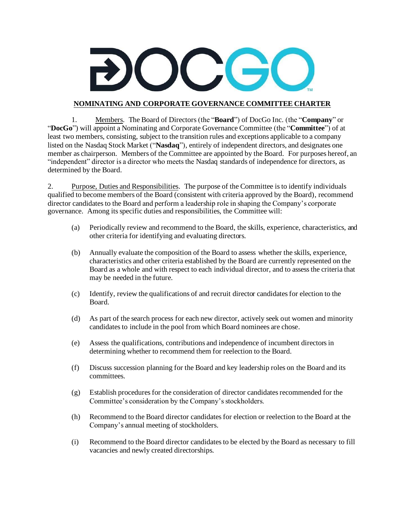

## **NOMINATING AND CORPORATE GOVERNANCE COMMITTEE CHARTER**

1. Members. The Board of Directors (the "**Board**") of DocGo Inc. (the "**Company**" or "**DocGo**") will appoint a Nominating and Corporate Governance Committee (the "**Committee**") of at least two members, consisting, subject to the transition rules and exceptions applicable to a company listed on the Nasdaq Stock Market ("**Nasdaq**"), entirely of independent directors, and designates one member as chairperson. Members of the Committee are appointed by the Board. For purposes hereof, an "independent" director is a director who meets the Nasdaq standards of independence for directors, as determined by the Board.

2. Purpose, Duties and Responsibilities. The purpose of the Committee isto identify individuals qualified to become members of the Board (consistent with criteria approved by the Board), recommend director candidates to the Board and perform a leadership role in shaping the Company's corporate governance. Among its specific duties and responsibilities, the Committee will:

- (a) Periodically review and recommend to the Board, the skills, experience, characteristics, and other criteria for identifying and evaluating directors.
- (b) Annually evaluate the composition of the Board to assess whether the skills, experience, characteristics and other criteria established by the Board are currently represented on the Board as a whole and with respect to each individual director, and to assess the criteria that may be needed in the future.
- (c) Identify, review the qualifications of and recruit director candidates for election to the Board.
- (d) As part of the search process for each new director, actively seek out women and minority candidates to include in the pool from which Board nominees are chose.
- (e) Assess the qualifications, contributions and independence of incumbent directors in determining whether to recommend them for reelection to the Board.
- (f) Discuss succession planning for the Board and key leadership roles on the Board and its committees.
- (g) Establish procedures for the consideration of director candidates recommended for the Committee's consideration by the Company's stockholders.
- (h) Recommend to the Board director candidates for election or reelection to the Board at the Company's annual meeting of stockholders.
- (i) Recommend to the Board director candidates to be elected by the Board as necessary to fill vacancies and newly created directorships.